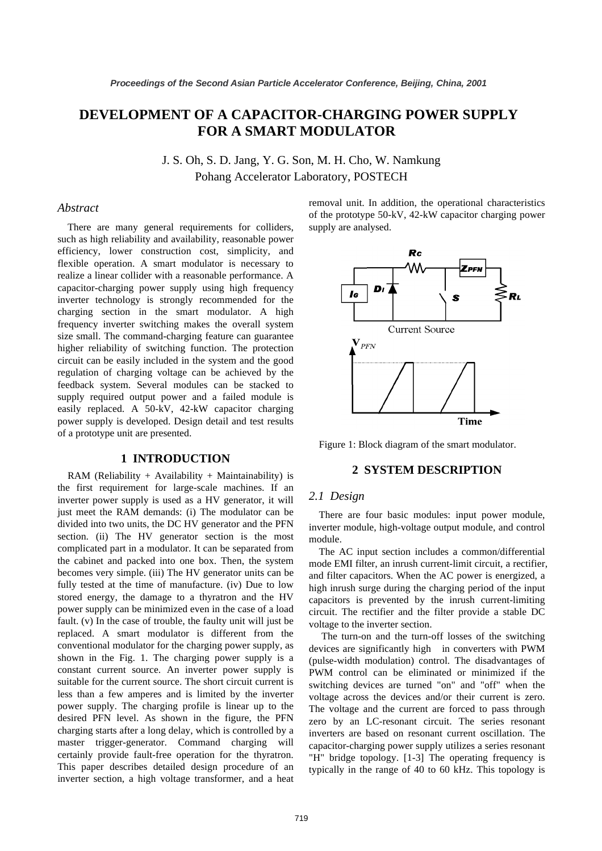# **DEVELOPMENT OF A CAPACITOR-CHARGING POWER SUPPLY FOR A SMART MODULATOR**

J. S. Oh, S. D. Jang, Y. G. Son, M. H. Cho, W. Namkung Pohang Accelerator Laboratory, POSTECH

# *Abstract*

There are many general requirements for colliders, such as high reliability and availability, reasonable power efficiency, lower construction cost, simplicity, and flexible operation. A smart modulator is necessary to realize a linear collider with a reasonable performance. A capacitor-charging power supply using high frequency inverter technology is strongly recommended for the charging section in the smart modulator. A high frequency inverter switching makes the overall system size small. The command-charging feature can guarantee higher reliability of switching function. The protection circuit can be easily included in the system and the good regulation of charging voltage can be achieved by the feedback system. Several modules can be stacked to supply required output power and a failed module is easily replaced. A 50-kV, 42-kW capacitor charging power supply is developed. Design detail and test results of a prototype unit are presented.

### **1 INTRODUCTION**

RAM (Reliability + Availability + Maintainability) is the first requirement for large-scale machines. If an inverter power supply is used as a HV generator, it will just meet the RAM demands: (i) The modulator can be divided into two units, the DC HV generator and the PFN section. (ii) The HV generator section is the most complicated part in a modulator. It can be separated from the cabinet and packed into one box. Then, the system becomes very simple. (iii) The HV generator units can be fully tested at the time of manufacture. (iv) Due to low stored energy, the damage to a thyratron and the HV power supply can be minimized even in the case of a load fault. (v) In the case of trouble, the faulty unit will just be replaced. A smart modulator is different from the conventional modulator for the charging power supply, as shown in the Fig. 1. The charging power supply is a constant current source. An inverter power supply is suitable for the current source. The short circuit current is less than a few amperes and is limited by the inverter power supply. The charging profile is linear up to the desired PFN level. As shown in the figure, the PFN charging starts after a long delay, which is controlled by a master trigger-generator. Command charging will certainly provide fault-free operation for the thyratron. This paper describes detailed design procedure of an inverter section, a high voltage transformer, and a heat removal unit. In addition, the operational characteristics of the prototype 50-kV, 42-kW capacitor charging power supply are analysed.



Figure 1: Block diagram of the smart modulator.

# **2 SYSTEM DESCRIPTION**

### *2.1 Design*

There are four basic modules: input power module, inverter module, high-voltage output module, and control module.

The AC input section includes a common/differential mode EMI filter, an inrush current-limit circuit, a rectifier, and filter capacitors. When the AC power is energized, a high inrush surge during the charging period of the input capacitors is prevented by the inrush current-limiting circuit. The rectifier and the filter provide a stable DC voltage to the inverter section.

 The turn-on and the turn-off losses of the switching devices are significantly high in converters with PWM (pulse-width modulation) control. The disadvantages of PWM control can be eliminated or minimized if the switching devices are turned "on" and "off" when the voltage across the devices and/or their current is zero. The voltage and the current are forced to pass through zero by an LC-resonant circuit. The series resonant inverters are based on resonant current oscillation. The capacitor-charging power supply utilizes a series resonant "H" bridge topology. [1-3] The operating frequency is typically in the range of 40 to 60 kHz. This topology is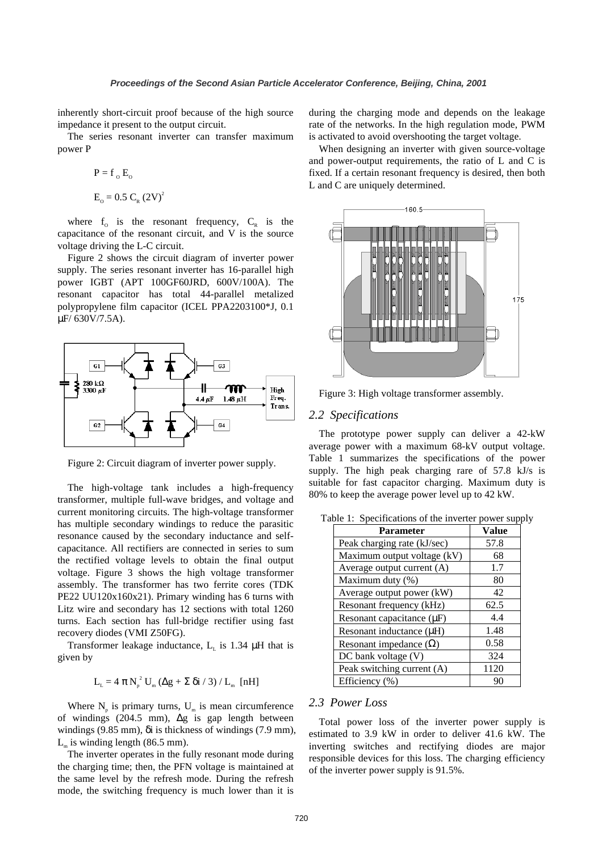inherently short-circuit proof because of the high source impedance it present to the output circuit.

The series resonant inverter can transfer maximum power P

$$
P = f_0 E_0
$$
  
E<sub>0</sub> = 0.5 C<sub>n</sub> (2V)<sup>2</sup>

where  $f_0$  is the resonant frequency,  $C_R$  is the capacitance of the resonant circuit, and V is the source voltage driving the L-C circuit.

Figure 2 shows the circuit diagram of inverter power supply. The series resonant inverter has 16-parallel high power IGBT (APT 100GF60JRD, 600V/100A). The resonant capacitor has total 44-parallel metalized polypropylene film capacitor (ICEL PPA2203100\*J, 0.1 µF/ 630V/7.5A).



Figure 2: Circuit diagram of inverter power supply.

The high-voltage tank includes a high-frequency transformer, multiple full-wave bridges, and voltage and current monitoring circuits. The high-voltage transformer has multiple secondary windings to reduce the parasitic resonance caused by the secondary inductance and selfcapacitance. All rectifiers are connected in series to sum the rectified voltage levels to obtain the final output voltage. Figure 3 shows the high voltage transformer assembly. The transformer has two ferrite cores (TDK PE22 UU120x160x21). Primary winding has 6 turns with Litz wire and secondary has 12 sections with total 1260 turns. Each section has full-bridge rectifier using fast recovery diodes (VMI Z50FG).

Transformer leakage inductance,  $L<sub>L</sub>$  is 1.34  $\mu$ H that is given by

$$
L_{\rm L} = 4 \pi N_{\rm p}^2 U_{\rm m} (\Delta g + \Sigma \delta i / 3) / L_{\rm m} \text{ [nH]}
$$

Where  $N_p$  is primary turns,  $U_m$  is mean circumference of windings (204.5 mm), ∆g is gap length between windings (9.85 mm), δi is thickness of windings (7.9 mm),  $L_m$  is winding length (86.5 mm).

The inverter operates in the fully resonant mode during the charging time; then, the PFN voltage is maintained at the same level by the refresh mode. During the refresh mode, the switching frequency is much lower than it is during the charging mode and depends on the leakage rate of the networks. In the high regulation mode, PWM is activated to avoid overshooting the target voltage.

When designing an inverter with given source-voltage and power-output requirements, the ratio of L and C is fixed. If a certain resonant frequency is desired, then both L and C are uniquely determined.



Figure 3: High voltage transformer assembly.

#### *2.2 Specifications*

The prototype power supply can deliver a 42-kW average power with a maximum 68-kV output voltage. Table 1 summarizes the specifications of the power supply. The high peak charging rare of 57.8 kJ/s is suitable for fast capacitor charging. Maximum duty is 80% to keep the average power level up to 42 kW.

| <b>Parameter</b>              | <b>Value</b> |
|-------------------------------|--------------|
| Peak charging rate (kJ/sec)   | 57.8         |
| Maximum output voltage (kV)   | 68           |
| Average output current (A)    | 1.7          |
| Maximum duty (%)              | 80           |
| Average output power (kW)     | 42           |
| Resonant frequency (kHz)      | 62.5         |
| Resonant capacitance (µF)     | 4.4          |
| Resonant inductance (µH)      | 1.48         |
| Resonant impedance $(\Omega)$ | 0.58         |
| $DC$ bank voltage $(V)$       | 324          |
| Peak switching current (A)    | 1120         |
| Efficiency (%)                | 90           |

Table 1: Specifications of the inverter power supply

# *2.3 Power Loss*

Total power loss of the inverter power supply is estimated to 3.9 kW in order to deliver 41.6 kW. The inverting switches and rectifying diodes are major responsible devices for this loss. The charging efficiency of the inverter power supply is 91.5%.